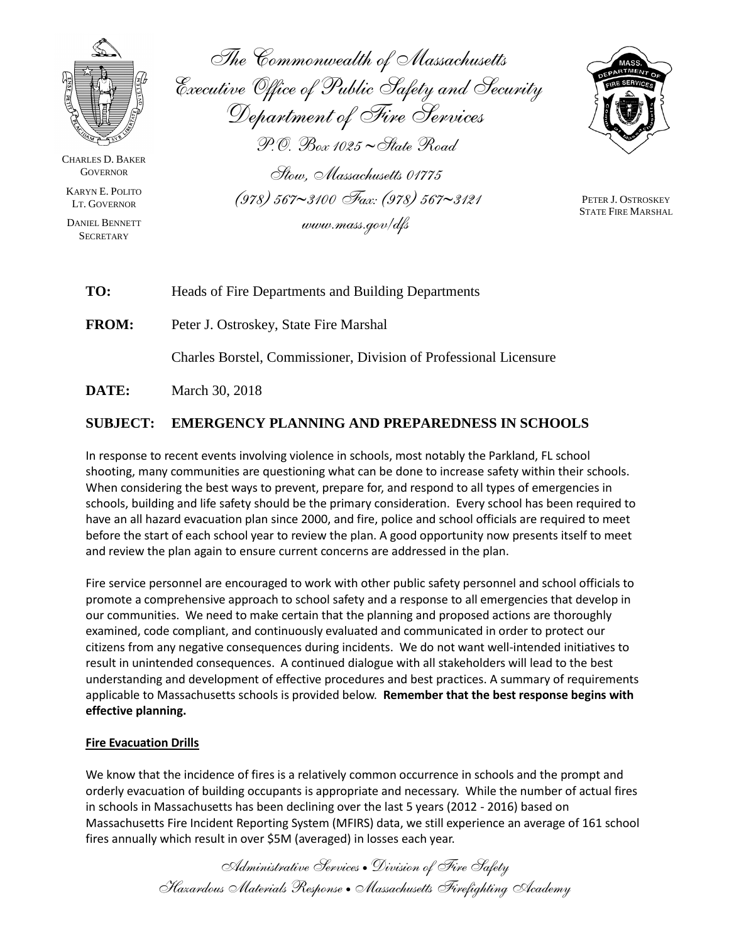

CHARLES D. BAKER **GOVERNOR** 

KARYN E. POLITO LT. GOVERNOR

DANIEL BENNETT **SECRETARY** 

*The Commonwealth of Massachusetts Executive Office of Public Safety and Security Department of Fire Services P.O. Box 1025 State Road Stow, Massachusetts 01775 (978) 5673100 Fax: (978) 5673121*

*www.mass.gov/dfs*



PETER J. OSTROSKEY STATE FIRE MARSHAL

**TO:** Heads of Fire Departments and Building Departments

**FROM:** Peter J. Ostroskey, State Fire Marshal

Charles Borstel, Commissioner, Division of Professional Licensure

**DATE:** March 30, 2018

# **SUBJECT: EMERGENCY PLANNING AND PREPAREDNESS IN SCHOOLS**

In response to recent events involving violence in schools, most notably the Parkland, FL school shooting, many communities are questioning what can be done to increase safety within their schools. When considering the best ways to prevent, prepare for, and respond to all types of emergencies in schools, building and life safety should be the primary consideration. Every school has been required to have an all hazard evacuation plan since 2000, and fire, police and school officials are required to meet before the start of each school year to review the plan. A good opportunity now presents itself to meet and review the plan again to ensure current concerns are addressed in the plan.

Fire service personnel are encouraged to work with other public safety personnel and school officials to promote a comprehensive approach to school safety and a response to all emergencies that develop in our communities. We need to make certain that the planning and proposed actions are thoroughly examined, code compliant, and continuously evaluated and communicated in order to protect our citizens from any negative consequences during incidents. We do not want well-intended initiatives to result in unintended consequences. A continued dialogue with all stakeholders will lead to the best understanding and development of effective procedures and best practices. A summary of requirements applicable to Massachusetts schools is provided below. **Remember that the best response begins with effective planning.**

#### **Fire Evacuation Drills**

We know that the incidence of fires is a relatively common occurrence in schools and the prompt and orderly evacuation of building occupants is appropriate and necessary. While the number of actual fires in schools in Massachusetts has been declining over the last 5 years (2012 - 2016) based on Massachusetts Fire Incident Reporting System (MFIRS) data, we still experience an average of 161 school fires annually which result in over \$5M (averaged) in losses each year.

> *Administrative Services Division of Fire Safety Hazardous Materials Response Massachusetts Firefighting Academy*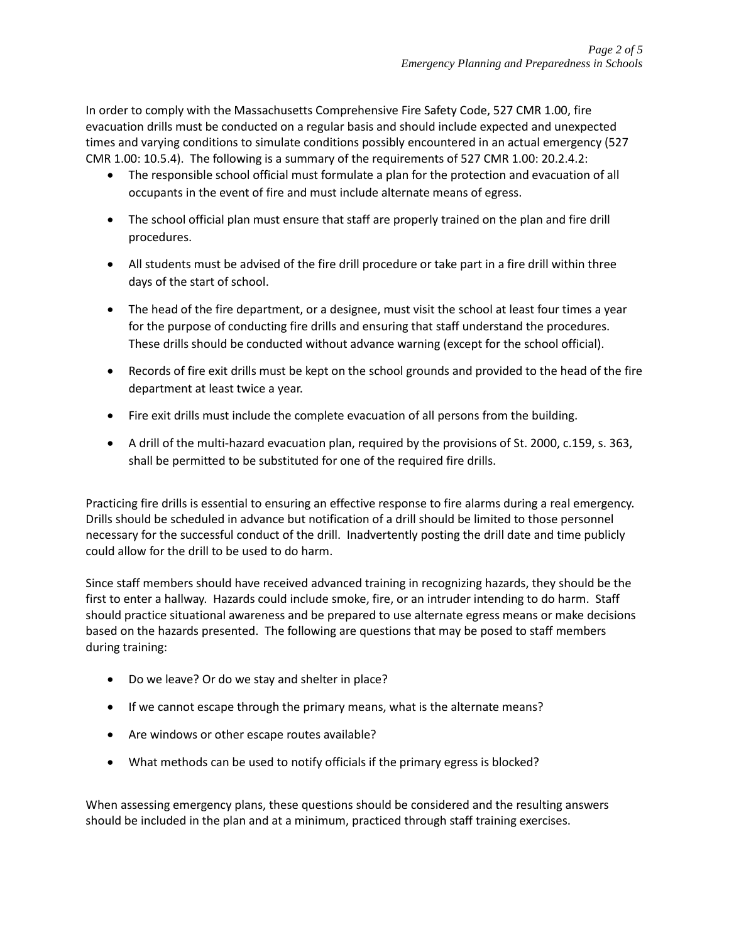In order to comply with the Massachusetts Comprehensive Fire Safety Code, 527 CMR 1.00, fire evacuation drills must be conducted on a regular basis and should include expected and unexpected times and varying conditions to simulate conditions possibly encountered in an actual emergency (527 CMR 1.00: 10.5.4). The following is a summary of the requirements of 527 CMR 1.00: 20.2.4.2:

- The responsible school official must formulate a plan for the protection and evacuation of all occupants in the event of fire and must include alternate means of egress.
- The school official plan must ensure that staff are properly trained on the plan and fire drill procedures.
- All students must be advised of the fire drill procedure or take part in a fire drill within three days of the start of school.
- The head of the fire department, or a designee, must visit the school at least four times a year for the purpose of conducting fire drills and ensuring that staff understand the procedures. These drills should be conducted without advance warning (except for the school official).
- Records of fire exit drills must be kept on the school grounds and provided to the head of the fire department at least twice a year.
- Fire exit drills must include the complete evacuation of all persons from the building.
- A drill of the multi-hazard evacuation plan, required by the provisions of St. 2000, c.159, s. 363, shall be permitted to be substituted for one of the required fire drills.

Practicing fire drills is essential to ensuring an effective response to fire alarms during a real emergency. Drills should be scheduled in advance but notification of a drill should be limited to those personnel necessary for the successful conduct of the drill. Inadvertently posting the drill date and time publicly could allow for the drill to be used to do harm.

Since staff members should have received advanced training in recognizing hazards, they should be the first to enter a hallway. Hazards could include smoke, fire, or an intruder intending to do harm. Staff should practice situational awareness and be prepared to use alternate egress means or make decisions based on the hazards presented. The following are questions that may be posed to staff members during training:

- Do we leave? Or do we stay and shelter in place?
- If we cannot escape through the primary means, what is the alternate means?
- Are windows or other escape routes available?
- What methods can be used to notify officials if the primary egress is blocked?

When assessing emergency plans, these questions should be considered and the resulting answers should be included in the plan and at a minimum, practiced through staff training exercises.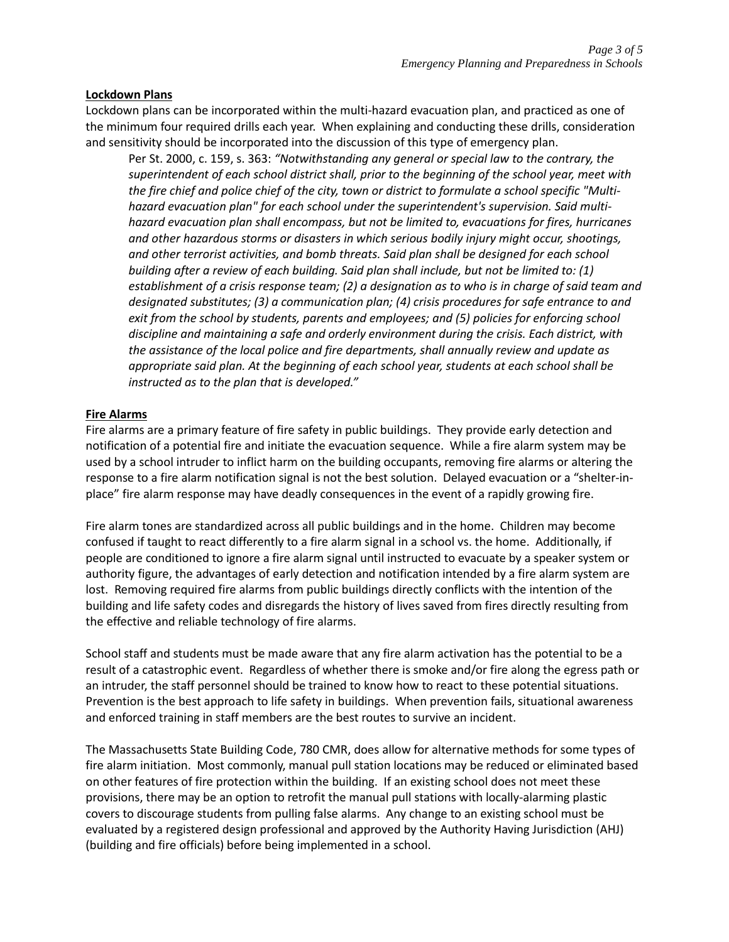## **Lockdown Plans**

Lockdown plans can be incorporated within the multi-hazard evacuation plan, and practiced as one of the minimum four required drills each year. When explaining and conducting these drills, consideration and sensitivity should be incorporated into the discussion of this type of emergency plan.

Per St. 2000, c. 159, s. 363: *"Notwithstanding any general or special law to the contrary, the superintendent of each school district shall, prior to the beginning of the school year, meet with*  the fire chief and police chief of the city, town or district to formulate a school specific "Multi*hazard evacuation plan" for each school under the superintendent's supervision. Said multihazard evacuation plan shall encompass, but not be limited to, evacuations for fires, hurricanes and other hazardous storms or disasters in which serious bodily injury might occur, shootings, and other terrorist activities, and bomb threats. Said plan shall be designed for each school building after a review of each building. Said plan shall include, but not be limited to: (1) establishment of a crisis response team; (2) a designation as to who is in charge of said team and designated substitutes; (3) a communication plan; (4) crisis procedures for safe entrance to and exit from the school by students, parents and employees; and (5) policies for enforcing school discipline and maintaining a safe and orderly environment during the crisis. Each district, with the assistance of the local police and fire departments, shall annually review and update as appropriate said plan. At the beginning of each school year, students at each school shall be instructed as to the plan that is developed."*

#### **Fire Alarms**

Fire alarms are a primary feature of fire safety in public buildings. They provide early detection and notification of a potential fire and initiate the evacuation sequence. While a fire alarm system may be used by a school intruder to inflict harm on the building occupants, removing fire alarms or altering the response to a fire alarm notification signal is not the best solution. Delayed evacuation or a "shelter-inplace" fire alarm response may have deadly consequences in the event of a rapidly growing fire.

Fire alarm tones are standardized across all public buildings and in the home. Children may become confused if taught to react differently to a fire alarm signal in a school vs. the home. Additionally, if people are conditioned to ignore a fire alarm signal until instructed to evacuate by a speaker system or authority figure, the advantages of early detection and notification intended by a fire alarm system are lost. Removing required fire alarms from public buildings directly conflicts with the intention of the building and life safety codes and disregards the history of lives saved from fires directly resulting from the effective and reliable technology of fire alarms.

School staff and students must be made aware that any fire alarm activation has the potential to be a result of a catastrophic event. Regardless of whether there is smoke and/or fire along the egress path or an intruder, the staff personnel should be trained to know how to react to these potential situations. Prevention is the best approach to life safety in buildings. When prevention fails, situational awareness and enforced training in staff members are the best routes to survive an incident.

The Massachusetts State Building Code, 780 CMR, does allow for alternative methods for some types of fire alarm initiation. Most commonly, manual pull station locations may be reduced or eliminated based on other features of fire protection within the building. If an existing school does not meet these provisions, there may be an option to retrofit the manual pull stations with locally-alarming plastic covers to discourage students from pulling false alarms. Any change to an existing school must be evaluated by a registered design professional and approved by the Authority Having Jurisdiction (AHJ) (building and fire officials) before being implemented in a school.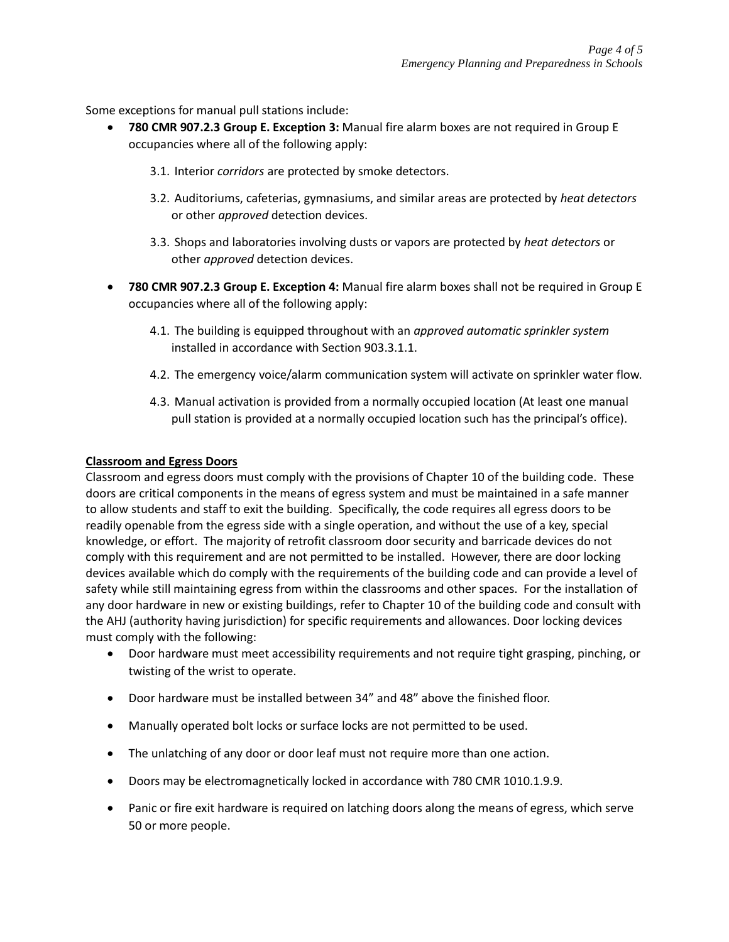Some exceptions for manual pull stations include:

- **780 CMR 907.2.3 Group E. Exception 3:** Manual fire alarm boxes are not required in Group E occupancies where all of the following apply:
	- 3.1. Interior *corridors* are protected by smoke detectors.
	- 3.2. Auditoriums, cafeterias, gymnasiums, and similar areas are protected by *heat detectors* or other *approved* detection devices.
	- 3.3. Shops and laboratories involving dusts or vapors are protected by *heat detectors* or other *approved* detection devices.
- **780 CMR 907.2.3 Group E. Exception 4:** Manual fire alarm boxes shall not be required in Group E occupancies where all of the following apply:
	- 4.1. The building is equipped throughout with an *approved automatic sprinkler system*  installed in accordance with Section 903.3.1.1.
	- 4.2. The emergency voice/alarm communication system will activate on sprinkler water flow.
	- 4.3. Manual activation is provided from a normally occupied location (At least one manual pull station is provided at a normally occupied location such has the principal's office).

## **Classroom and Egress Doors**

Classroom and egress doors must comply with the provisions of Chapter 10 of the building code. These doors are critical components in the means of egress system and must be maintained in a safe manner to allow students and staff to exit the building. Specifically, the code requires all egress doors to be readily openable from the egress side with a single operation, and without the use of a key, special knowledge, or effort. The majority of retrofit classroom door security and barricade devices do not comply with this requirement and are not permitted to be installed. However, there are door locking devices available which do comply with the requirements of the building code and can provide a level of safety while still maintaining egress from within the classrooms and other spaces. For the installation of any door hardware in new or existing buildings, refer to Chapter 10 of the building code and consult with the AHJ (authority having jurisdiction) for specific requirements and allowances. Door locking devices must comply with the following:

- Door hardware must meet accessibility requirements and not require tight grasping, pinching, or twisting of the wrist to operate.
- Door hardware must be installed between 34" and 48" above the finished floor.
- Manually operated bolt locks or surface locks are not permitted to be used.
- The unlatching of any door or door leaf must not require more than one action.
- Doors may be electromagnetically locked in accordance with 780 CMR 1010.1.9.9.
- Panic or fire exit hardware is required on latching doors along the means of egress, which serve 50 or more people.